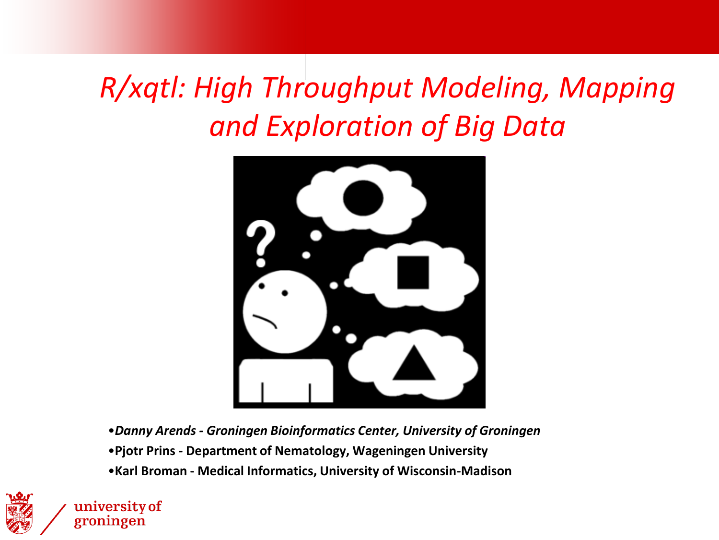### *R/xqtl: High Throughput Modeling, Mapping and Exploration of Big Data*



•*Danny Arends - Groningen Bioinformatics Center, University of Groningen* •**Pjotr Prins - Department of Nematology, Wageningen University** •**Karl Broman - Medical Informatics, University of Wisconsin-Madison**



university of groningen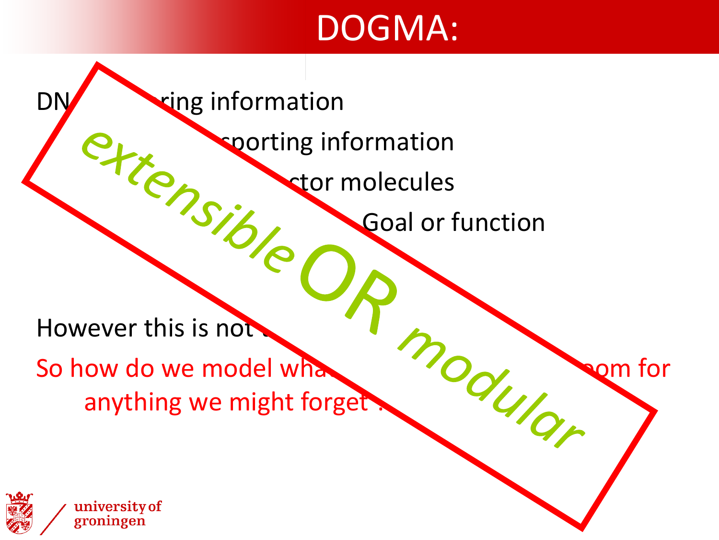## DOGMA:

DNA -> string information sporting information PROTECTOR MOLECULES **Goal or function** However this is not<br>So how do we model what the completion of the completion of the completion of the completion of the completion of the completion of the completion of the completion of the completion of the completion o So how do we model what  $\overline{O_{\sim}}$  when for anything we might forget

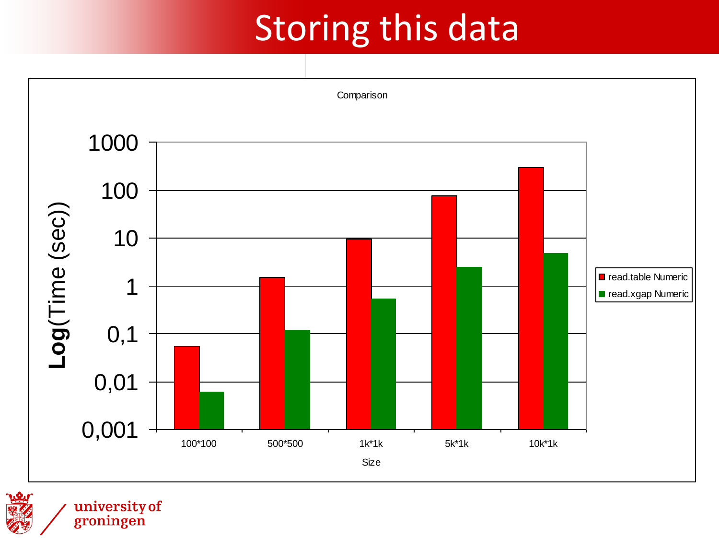# Storing this data



university of<br>groningen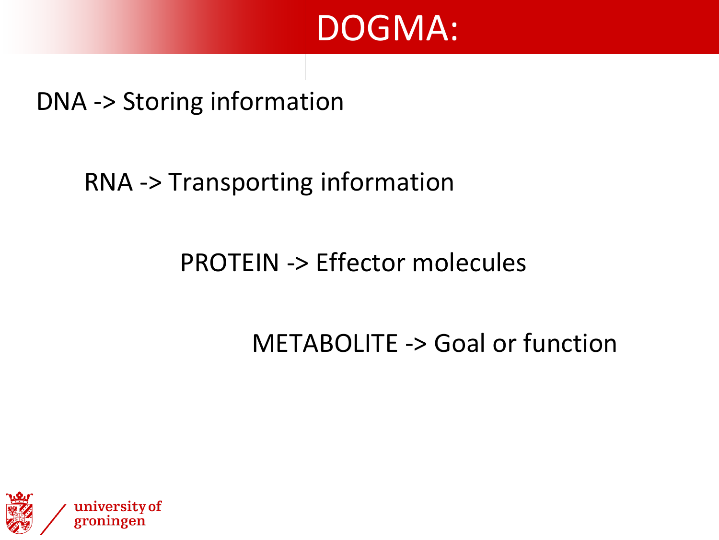### DOGMA:

#### DNA -> Storing information

#### RNA -> Transporting information

#### PROTEIN -> Effector molecules

#### METABOLITE -> Goal or function

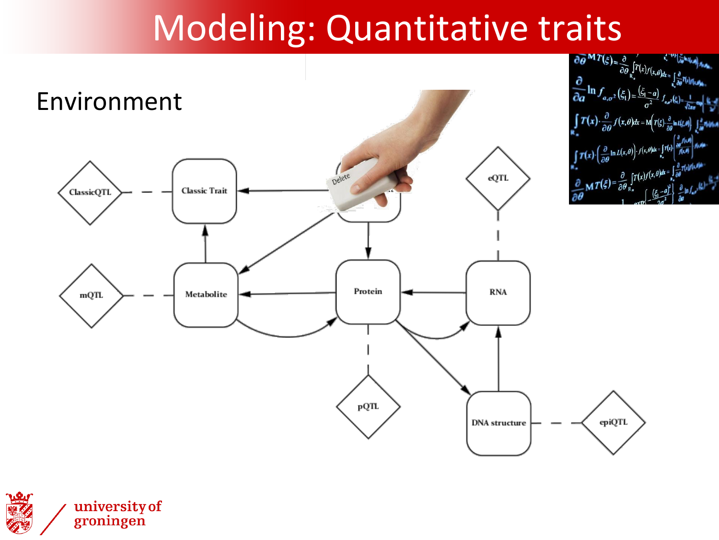# Modeling: Quantitative traits



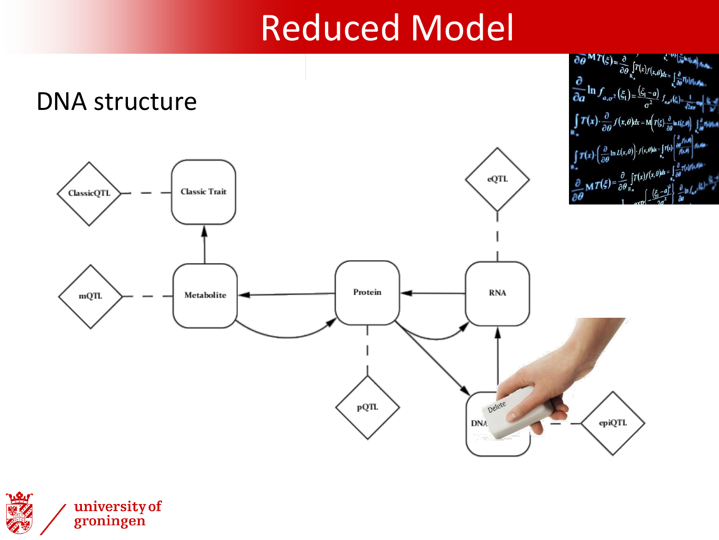# Reduced Model



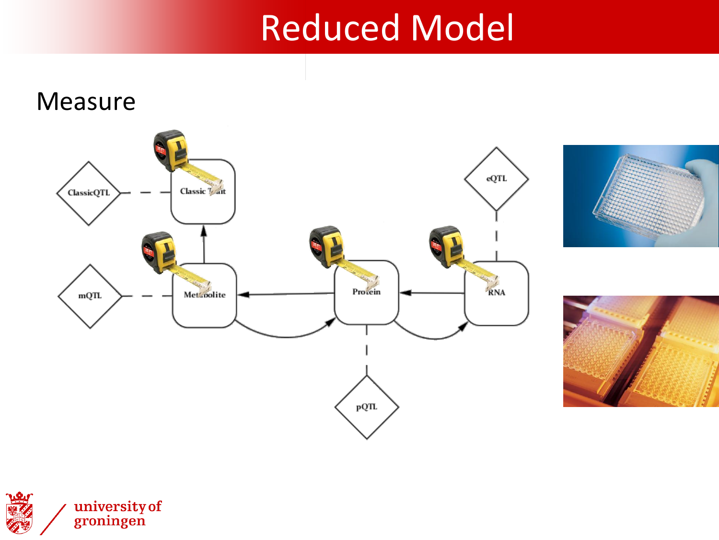# Reduced Model

#### Measure







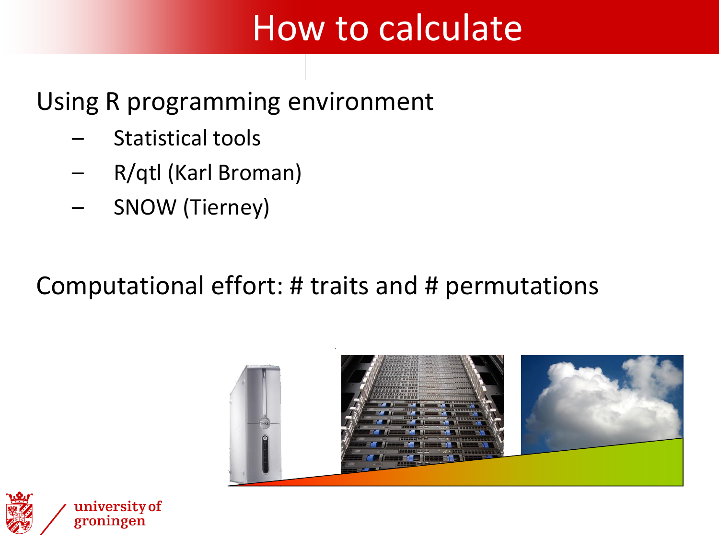# How to calculate

#### Using R programming environment

- Statistical tools
- R/qtl (Karl Broman)
- SNOW (Tierney)

#### Computational effort: # traits and # permutations



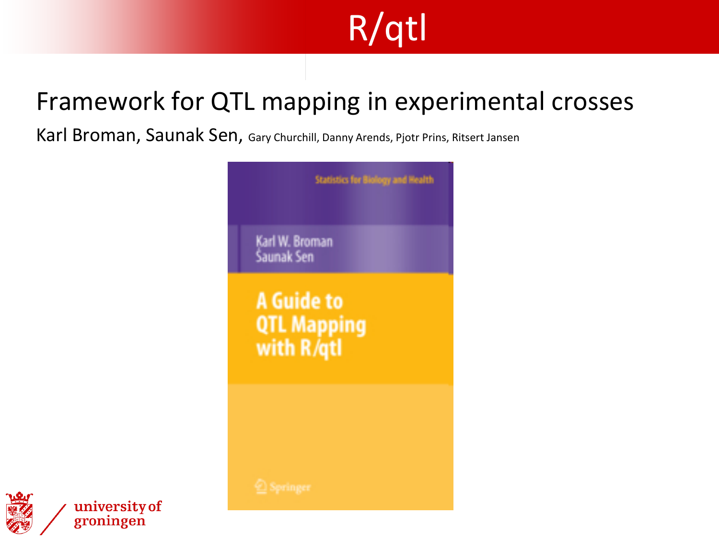# R/qtl

#### Framework for QTL mapping in experimental crosses

Karl Broman, Saunak Sen, Gary Churchill, Danny Arends, Pjotr Prins, Ritsert Jansen





university of groningen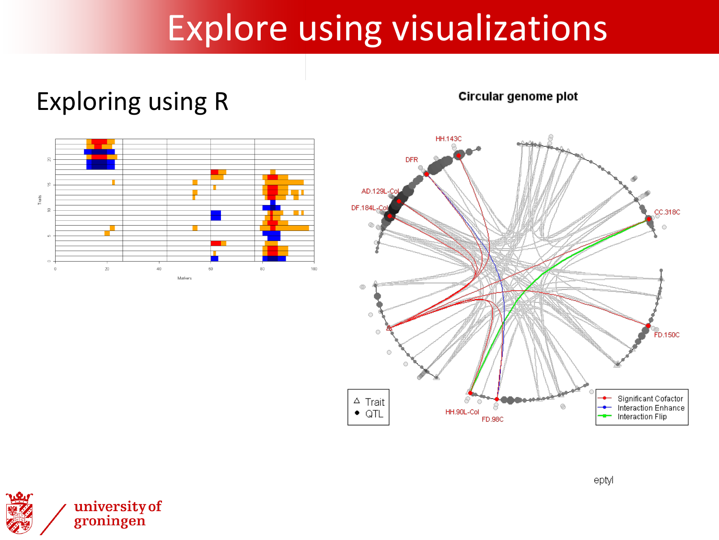# Explore using visualizations

#### Exploring using R





Circular genome plot

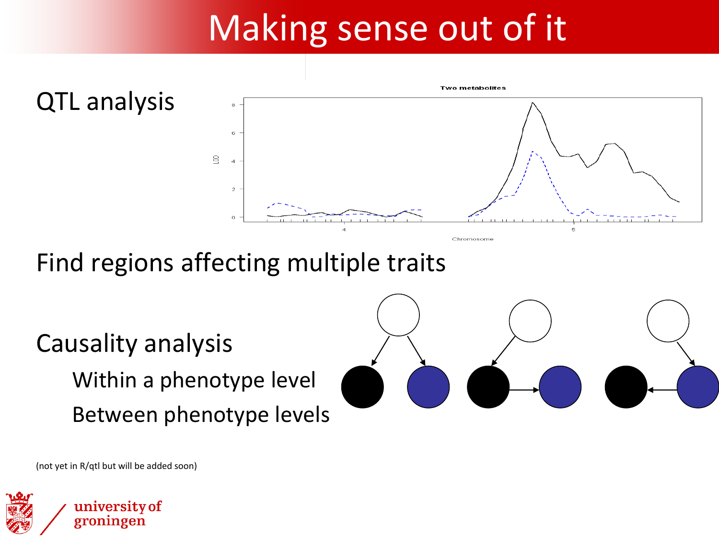# Making sense out of it



Find regions affecting multiple traits

Causality analysis Within a phenotype level Between phenotype levels



(not yet in R/qtl but will be added soon)

university of

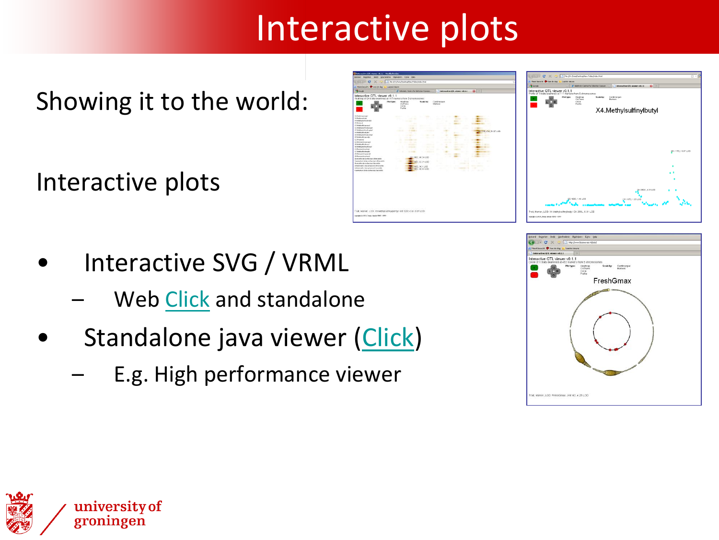# Interactive plots

Showing it to the world:

Interactive plots

- Interactive SVG / VRML
	- Web [Click](http://www.biosources.nl/iplot/) and standalone
- Standalone java viewer ([Click\)](QTLviewer.jar)
	- E.g. High performance viewer





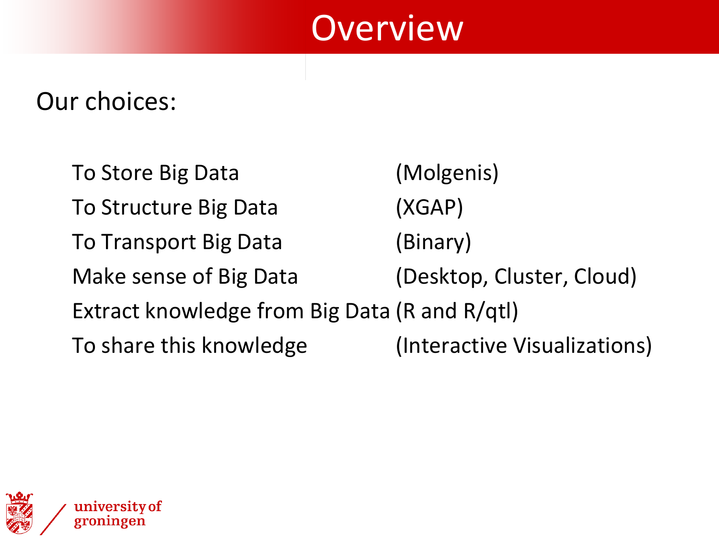### **Overview**

#### Our choices:

To Store Big Data (Molgenis) To Structure Big Data (XGAP) To Transport Big Data (Binary) Make sense of Big Data (Desktop, Cluster, Cloud) Extract knowledge from Big Data (R and R/qtl) To share this knowledge (Interactive Visualizations)